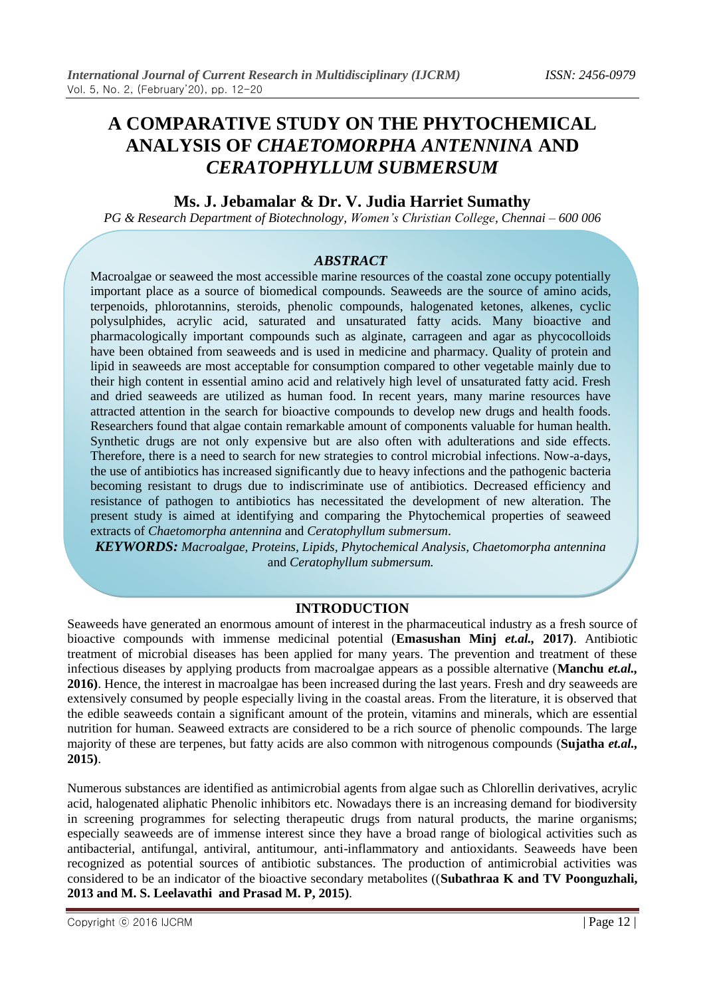# **A COMPARATIVE STUDY ON THE PHYTOCHEMICAL ANALYSIS OF** *CHAETOMORPHA ANTENNINA* **AND**  *CERATOPHYLLUM SUBMERSUM*

# **Ms. J. Jebamalar & Dr. V. Judia Harriet Sumathy**

*PG & Research Department of Biotechnology, Women's Christian College, Chennai – 600 006*

#### *ABSTRACT*

Macroalgae or seaweed the most accessible marine resources of the coastal zone occupy potentially important place as a source of biomedical compounds. Seaweeds are the source of amino acids, terpenoids, phlorotannins, steroids, phenolic compounds, halogenated ketones, alkenes, cyclic polysulphides, acrylic acid, saturated and unsaturated fatty acids. Many bioactive and pharmacologically important compounds such as alginate, carrageen and agar as phycocolloids have been obtained from seaweeds and is used in medicine and pharmacy. Quality of protein and lipid in seaweeds are most acceptable for consumption compared to other vegetable mainly due to their high content in essential amino acid and relatively high level of unsaturated fatty acid. Fresh and dried seaweeds are utilized as human food. In recent years, many marine resources have attracted attention in the search for bioactive compounds to develop new drugs and health foods. Researchers found that algae contain remarkable amount of components valuable for human health. Synthetic drugs are not only expensive but are also often with adulterations and side effects. Therefore, there is a need to search for new strategies to control microbial infections. Now-a-days, the use of antibiotics has increased significantly due to heavy infections and the pathogenic bacteria becoming resistant to drugs due to indiscriminate use of antibiotics. Decreased efficiency and resistance of pathogen to antibiotics has necessitated the development of new alteration. The present study is aimed at identifying and comparing the Phytochemical properties of seaweed extracts of *Chaetomorpha antennina* and *Ceratophyllum submersum*.

*KEYWORDS: Macroalgae, Proteins, Lipids, Phytochemical Analysis, Chaetomorpha antennina*  and *Ceratophyllum submersum.*

### **INTRODUCTION**

Seaweeds have generated an enormous amount of interest in the pharmaceutical industry as a fresh source of bioactive compounds with immense medicinal potential (**Emasushan Minj** *et.al.,* **2017)**. Antibiotic treatment of microbial diseases has been applied for many years. The prevention and treatment of these infectious diseases by applying products from macroalgae appears as a possible alternative (**Manchu** *et.al.,* **2016)**. Hence, the interest in macroalgae has been increased during the last years. Fresh and dry seaweeds are extensively consumed by people especially living in the coastal areas. From the literature, it is observed that the edible seaweeds contain a significant amount of the protein, vitamins and minerals, which are essential nutrition for human. Seaweed extracts are considered to be a rich source of phenolic compounds. The large majority of these are terpenes, but fatty acids are also common with nitrogenous compounds (**Sujatha** *et.al.,* **2015)**.

Numerous substances are identified as antimicrobial agents from algae such as Chlorellin derivatives, acrylic acid, halogenated aliphatic Phenolic inhibitors etc. Nowadays there is an increasing demand for biodiversity in screening programmes for selecting therapeutic drugs from natural products, the marine organisms; especially seaweeds are of immense interest since they have a broad range of biological activities such as antibacterial, antifungal, antiviral, antitumour, anti-inflammatory and antioxidants. Seaweeds have been recognized as potential sources of antibiotic substances. The production of antimicrobial activities was considered to be an indicator of the bioactive secondary metabolites ((**Subathraa K and TV Poonguzhali, 2013 and M. S. Leelavathi and Prasad M. P, 2015)**.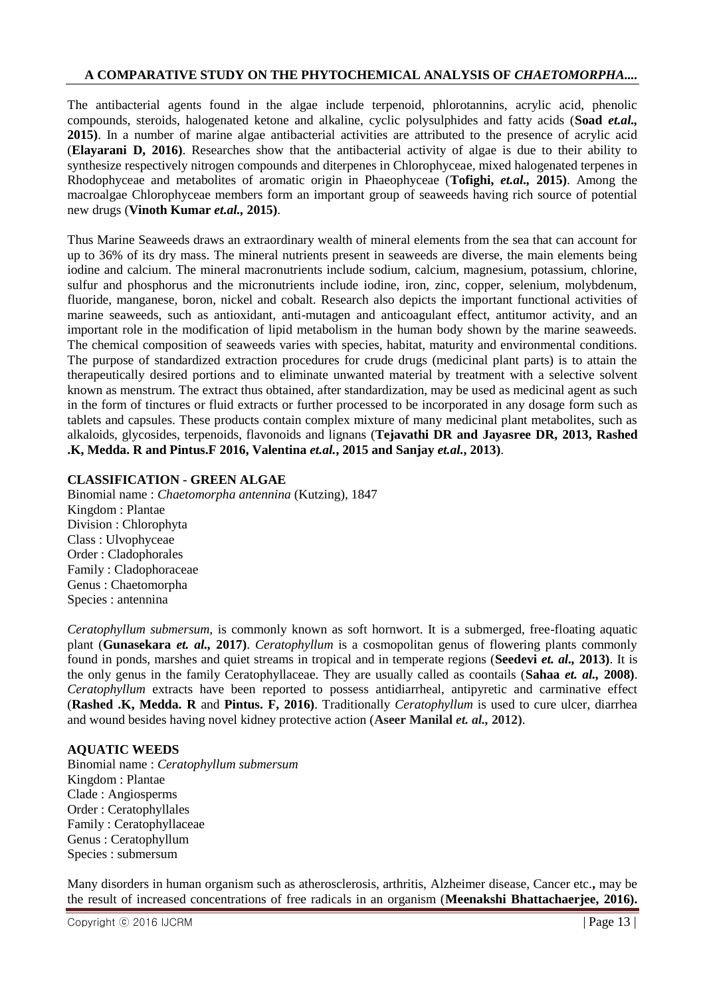The antibacterial agents found in the algae include terpenoid, phlorotannins, acrylic acid, phenolic compounds, steroids, halogenated ketone and alkaline, cyclic polysulphides and fatty acids (**Soad** *et.al.,* **2015)**. In a number of marine algae antibacterial activities are attributed to the presence of acrylic acid (**Elayarani D, 2016)**. Researches show that the antibacterial activity of algae is due to their ability to synthesize respectively nitrogen compounds and diterpenes in Chlorophyceae, mixed halogenated terpenes in Rhodophyceae and metabolites of aromatic origin in Phaeophyceae (**Tofighi,** *et.al.,* **2015)**. Among the macroalgae Chlorophyceae members form an important group of seaweeds having rich source of potential new drugs (**Vinoth Kumar** *et.al.,* **2015)**.

Thus Marine Seaweeds draws an extraordinary wealth of mineral elements from the sea that can account for up to 36% of its dry mass. The mineral nutrients present in seaweeds are diverse, the main elements being iodine and calcium. The mineral macronutrients include sodium, calcium, magnesium, potassium, chlorine, sulfur and phosphorus and the micronutrients include iodine, iron, zinc, copper, selenium, molybdenum, fluoride, manganese, boron, nickel and cobalt. Research also depicts the important functional activities of marine seaweeds, such as antioxidant, anti-mutagen and anticoagulant effect, antitumor activity, and an important role in the modification of lipid metabolism in the human body shown by the marine seaweeds. The chemical composition of seaweeds varies with species, habitat, maturity and environmental conditions. The purpose of standardized extraction procedures for crude drugs (medicinal plant parts) is to attain the therapeutically desired portions and to eliminate unwanted material by treatment with a selective solvent known as menstrum. The extract thus obtained, after standardization, may be used as medicinal agent as such in the form of tinctures or fluid extracts or further processed to be incorporated in any dosage form such as tablets and capsules. These products contain complex mixture of many medicinal plant metabolites, such as alkaloids, glycosides, terpenoids, flavonoids and lignans (**Tejavathi DR and Jayasree DR, 2013, Rashed .K, Medda. R and Pintus.F 2016, Valentina** *et.al.***, 2015 and Sanjay** *et.al.***, 2013)**.

#### **CLASSIFICATION - GREEN ALGAE**

Binomial name : *Chaetomorpha antennina* (Kutzing), 1847 Kingdom : Plantae Division : Chlorophyta Class : Ulvophyceae Order : Cladophorales Family : Cladophoraceae Genus : Chaetomorpha Species : antennina

*Ceratophyllum submersum,* is commonly known as soft hornwort. It is a submerged, free-floating aquatic plant (**Gunasekara** *et. al.,* **2017)**. *Ceratophyllum* is a cosmopolitan genus of flowering plants commonly found in ponds, marshes and quiet streams in tropical and in temperate regions (**Seedevi** *et. al.,* **2013)**. It is the only genus in the family Ceratophyllaceae. They are usually called as coontails (**Sahaa** *et. al.,* **2008)**. *Ceratophyllum* extracts have been reported to possess antidiarrheal, antipyretic and carminative effect (**Rashed .K, Medda. R** and **Pintus. F, 2016)**. Traditionally *Ceratophyllum* is used to cure ulcer, diarrhea and wound besides having novel kidney protective action (**Aseer Manilal** *et. al.,* **2012)**.

#### **AQUATIC WEEDS**

Binomial name : *Ceratophyllum submersum*  Kingdom : Plantae Clade : Angiosperms Order : Ceratophyllales Family : Ceratophyllaceae Genus : Ceratophyllum Species : submersum

Many disorders in human organism such as atherosclerosis, arthritis, Alzheimer disease, Cancer etc.**,** may be the result of increased concentrations of free radicals in an organism (**Meenakshi Bhattachaerjee, 2016).**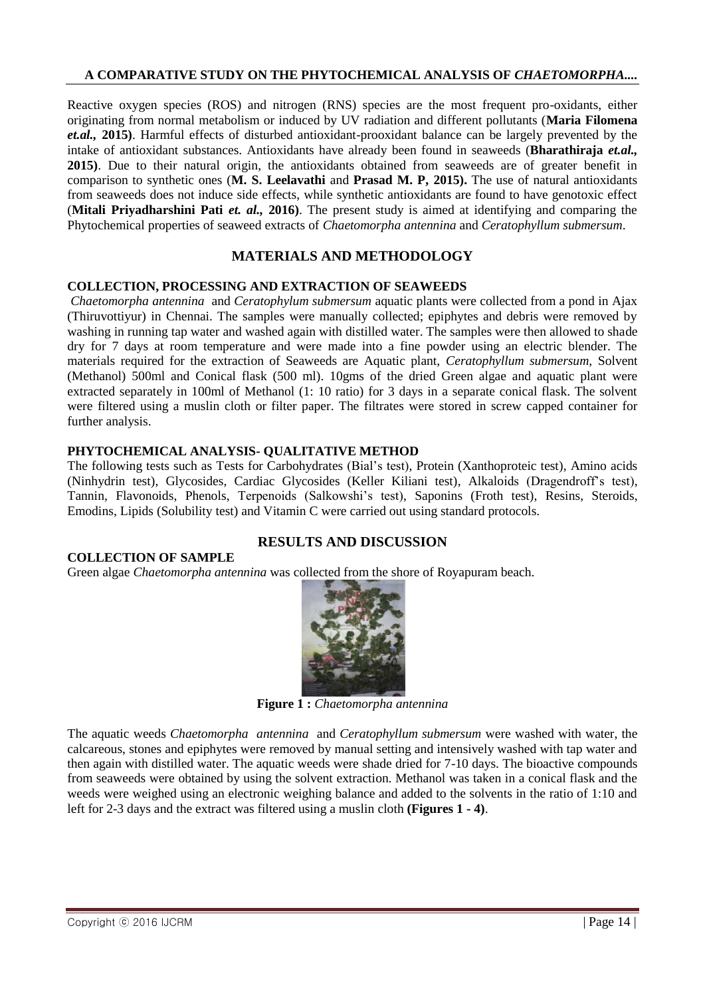Reactive oxygen species (ROS) and nitrogen (RNS) species are the most frequent pro-oxidants, either originating from normal metabolism or induced by UV radiation and different pollutants (**Maria Filomena** *et.al.,* **2015)**. Harmful effects of disturbed antioxidant-prooxidant balance can be largely prevented by the intake of antioxidant substances. Antioxidants have already been found in seaweeds (**Bharathiraja** *et.al.,* **2015)**. Due to their natural origin, the antioxidants obtained from seaweeds are of greater benefit in comparison to synthetic ones (**M. S. Leelavathi** and **Prasad M. P, 2015).** The use of natural antioxidants from seaweeds does not induce side effects, while synthetic antioxidants are found to have genotoxic effect (**Mitali Priyadharshini Pati** *et. al.,* **2016)**. The present study is aimed at identifying and comparing the Phytochemical properties of seaweed extracts of *Chaetomorpha antennina* and *Ceratophyllum submersum*.

# **MATERIALS AND METHODOLOGY**

#### **COLLECTION, PROCESSING AND EXTRACTION OF SEAWEEDS**

*Chaetomorpha antennina* and *Ceratophylum submersum* aquatic plants were collected from a pond in Ajax (Thiruvottiyur) in Chennai. The samples were manually collected; epiphytes and debris were removed by washing in running tap water and washed again with distilled water. The samples were then allowed to shade dry for 7 days at room temperature and were made into a fine powder using an electric blender. The materials required for the extraction of Seaweeds are Aquatic plant, *Ceratophyllum submersum,* Solvent (Methanol) 500ml and Conical flask (500 ml). 10gms of the dried Green algae and aquatic plant were extracted separately in 100ml of Methanol (1: 10 ratio) for 3 days in a separate conical flask. The solvent were filtered using a muslin cloth or filter paper. The filtrates were stored in screw capped container for further analysis.

#### **PHYTOCHEMICAL ANALYSIS- QUALITATIVE METHOD**

The following tests such as Tests for Carbohydrates (Bial's test), Protein (Xanthoproteic test), Amino acids (Ninhydrin test), Glycosides, Cardiac Glycosides (Keller Kiliani test), Alkaloids (Dragendroff's test), Tannin, Flavonoids, Phenols, Terpenoids (Salkowshi's test), Saponins (Froth test), Resins, Steroids, Emodins, Lipids (Solubility test) and Vitamin C were carried out using standard protocols.

**RESULTS AND DISCUSSION**

#### **COLLECTION OF SAMPLE**

Green algae *Chaetomorpha antennina* was collected from the shore of Royapuram beach.



**Figure 1 :** *Chaetomorpha antennina*

The aquatic weeds *Chaetomorpha antennina* and *Ceratophyllum submersum* were washed with water, the calcareous, stones and epiphytes were removed by manual setting and intensively washed with tap water and then again with distilled water. The aquatic weeds were shade dried for 7-10 days. The bioactive compounds from seaweeds were obtained by using the solvent extraction. Methanol was taken in a conical flask and the weeds were weighed using an electronic weighing balance and added to the solvents in the ratio of 1:10 and left for 2-3 days and the extract was filtered using a muslin cloth **(Figures 1 - 4)**.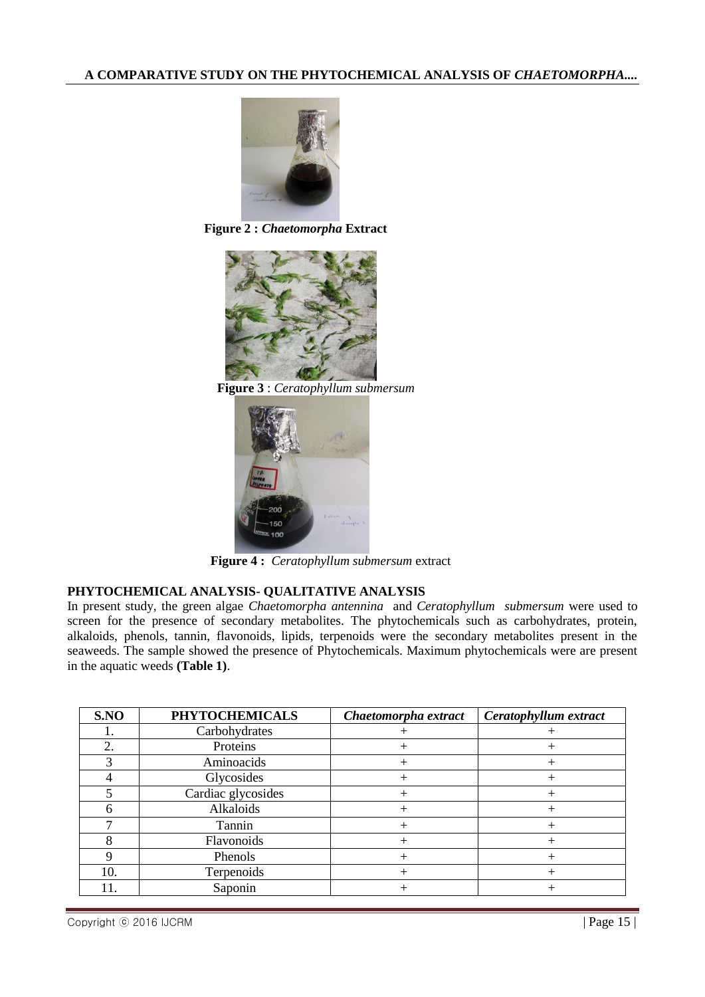

**Figure 2 :** *Chaetomorpha* **Extract**



**Figure 3** : *Ceratophyllum submersum*



**Figure 4 :** *Ceratophyllum submersum* extract

# **PHYTOCHEMICAL ANALYSIS- QUALITATIVE ANALYSIS**

In present study, the green algae *Chaetomorpha antennina* and *Ceratophyllum submersum* were used to screen for the presence of secondary metabolites. The phytochemicals such as carbohydrates, protein, alkaloids, phenols, tannin, flavonoids, lipids, terpenoids were the secondary metabolites present in the seaweeds. The sample showed the presence of Phytochemicals. Maximum phytochemicals were are present in the aquatic weeds **(Table 1)**.

| S.NO | <b>PHYTOCHEMICALS</b> | Chaetomorpha extract | Ceratophyllum extract |
|------|-----------------------|----------------------|-----------------------|
|      | Carbohydrates         |                      |                       |
| 2.   | Proteins              | $^+$                 | $^+$                  |
| 3    | Aminoacids            | $^+$                 | $^{+}$                |
|      | Glycosides            | $^+$                 | $^{+}$                |
|      | Cardiac glycosides    | $^{+}$               | $^{+}$                |
|      | Alkaloids             | $^+$                 | $^{+}$                |
|      | Tannin                | $^+$                 | $^{+}$                |
|      | Flavonoids            | $^+$                 | $^+$                  |
|      | Phenols               | $^+$                 | $^{+}$                |
| 10.  | Terpenoids            | $^+$                 | $^{+}$                |
| 11.  | Saponin               |                      |                       |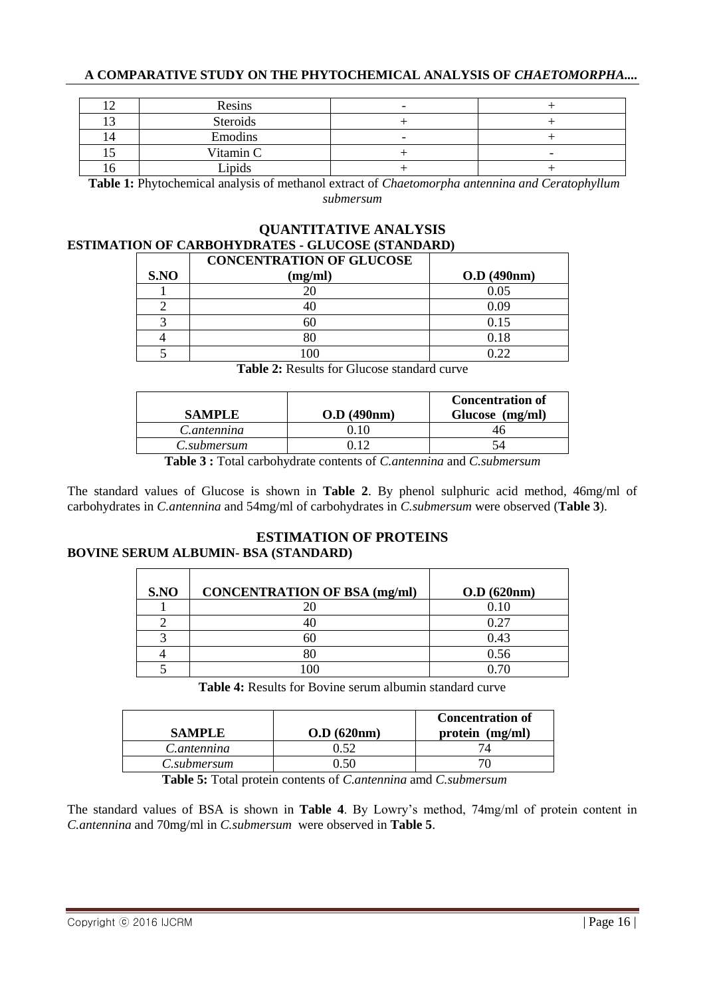| Resins    | $\overline{\phantom{0}}$ |   |
|-----------|--------------------------|---|
| Steroids  |                          |   |
| Emodins   | -                        |   |
| Vitamin C |                          | - |
| Lipids    |                          |   |

**Table 1:** Phytochemical analysis of methanol extract of *Chaetomorpha antennina and Ceratophyllum submersum*

# **QUANTITATIVE ANALYSIS ESTIMATION OF CARBOHYDRATES - GLUCOSE (STANDARD)**

|      | <b>CONCENTRATION OF GLUCOSE</b> |              |
|------|---------------------------------|--------------|
| S.NO | (mg/ml)                         | O.D. (490nm) |
|      | 20                              | 0.05         |
|      |                                 | O O9         |
|      | 60                              | 0.15         |
|      | 80                              | 0.18         |
|      |                                 |              |

**Table 2:** Results for Glucose standard curve

| <b>SAMPLE</b> | O.D. (490nm) | <b>Concentration of</b><br>Glucose (mg/ml) |
|---------------|--------------|--------------------------------------------|
| C.antennina   |              |                                            |
| C.submersum   |              |                                            |
|               |              | $\sim$ $\sim$                              |

**Table 3 :** Total carbohydrate contents of *C.antennina* and *C.submersum*

The standard values of Glucose is shown in **Table 2**. By phenol sulphuric acid method, 46mg/ml of carbohydrates in *C.antennina* and 54mg/ml of carbohydrates in *C.submersum* were observed (**Table 3**).

# **ESTIMATION OF PROTEINS**

### **BOVINE SERUM ALBUMIN- BSA (STANDARD)**

| S.NO | <b>CONCENTRATION OF BSA (mg/ml)</b> | O.D. (620nm) |
|------|-------------------------------------|--------------|
|      |                                     | 0.10         |
|      |                                     | 0.27         |
|      | 61                                  | 0.43         |
|      | 80                                  | 0.56         |
|      | $\alpha$                            |              |

**Table 4:** Results for Bovine serum albumin standard curve

| <b>SAMPLE</b> | O.D (620nm) | <b>Concentration of</b><br>protein (mg/ml) |
|---------------|-------------|--------------------------------------------|
| C.antennina   | 0.52        |                                            |
| C.submersum   | 50 (        |                                            |

 **Table 5:** Total protein contents of *C.antennina* amd *C.submersum*

The standard values of BSA is shown in **Table 4**. By Lowry's method, 74mg/ml of protein content in *C.antennina* and 70mg/ml in *C.submersum* were observed in **Table 5**.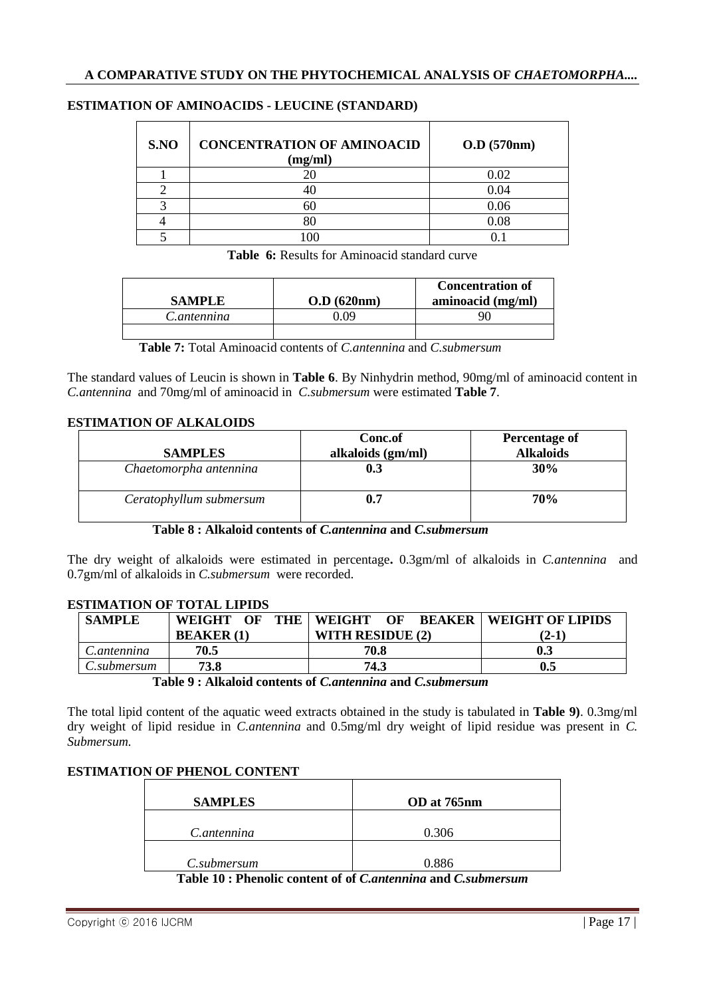| S.NO | <b>CONCENTRATION OF AMINOACID</b><br>(mg/ml) | $O.D$ (570nm) |
|------|----------------------------------------------|---------------|
|      |                                              | 0.02          |
|      |                                              | 0.04          |
|      | 60                                           | 0.06          |
|      | 80                                           | 0.08          |
|      |                                              |               |

#### **ESTIMATION OF AMINOACIDS - LEUCINE (STANDARD)**

**Table 6:** Results for Aminoacid standard curve

| <b>SAMPLE</b> | O.D (620nm) | <b>Concentration of</b><br>aminoacid (mg/ml) |
|---------------|-------------|----------------------------------------------|
| C.antennina   | റാ          |                                              |
|               |             |                                              |

 **Table 7:** Total Aminoacid contents of *C.antennina* and *C.submersum*

The standard values of Leucin is shown in **Table 6**. By Ninhydrin method, 90mg/ml of aminoacid content in *C.antennina* and 70mg/ml of aminoacid in *C.submersum* were estimated **Table 7**.

#### **ESTIMATION OF ALKALOIDS**

|                         | Conc.of           | <b>Percentage of</b> |
|-------------------------|-------------------|----------------------|
| <b>SAMPLES</b>          | alkaloids (gm/ml) | <b>Alkaloids</b>     |
| Chaetomorpha antennina  | 0.3               | 30%                  |
| Ceratophyllum submersum | 0.7               | <b>70%</b>           |

#### **Table 8 : Alkaloid contents of** *C.antennina* **and** *C.submersum*

The dry weight of alkaloids were estimated in percentage**.** 0.3gm/ml of alkaloids in *C.antennina* and 0.7gm/ml of alkaloids in *C.submersum* were recorded.

#### **SAMPLE WEIGHT OF THE BEAKER (1) WEIGHT OF BEAKER WITH RESIDUE (2) WEIGHT OF LIPIDS (2-1)** *C.antennina* 70.5 70.8 1 0.3 *C.submersum* **73.8 74.3 0.5**

#### **ESTIMATION OF TOTAL LIPIDS**

The total lipid content of the aquatic weed extracts obtained in the study is tabulated in **Table 9)**. 0.3mg/ml dry weight of lipid residue in *C.antennina* and 0.5mg/ml dry weight of lipid residue was present in *C. Submersum.*

### **ESTIMATION OF PHENOL CONTENT**

| <b>SAMPLES</b>                                                                                                                                                                                                                                                                                              | OD at 765nm |
|-------------------------------------------------------------------------------------------------------------------------------------------------------------------------------------------------------------------------------------------------------------------------------------------------------------|-------------|
| C.antennina                                                                                                                                                                                                                                                                                                 | 0.306       |
| C.submersum                                                                                                                                                                                                                                                                                                 | 0.886       |
| $T$ 11 10 $T$ 1 $\cdots$ 1 $\cdots$ 1 $\cdots$ 1 $\cdots$ 1 $\cdots$ 1 $\cdots$ 1 $\cdots$ 1 $\cdots$ 1 $\cdots$ 1 $\cdots$ 1 $\cdots$ 1 $\cdots$ 1 $\cdots$ 1 $\cdots$ 1 $\cdots$ 1 $\cdots$ 1 $\cdots$ 1 $\cdots$ 1 $\cdots$ 1 $\cdots$ 1 $\cdots$ 1 $\cdots$ 1 $\cdots$ 1 $\cdots$ 1 $\cdots$ 1 $\cdots$ |             |

**Table 10 : Phenolic content of of** *C.antennina* **and** *C.submersum*

**Table 9 : Alkaloid contents of** *C.antennina* **and** *C.submersum*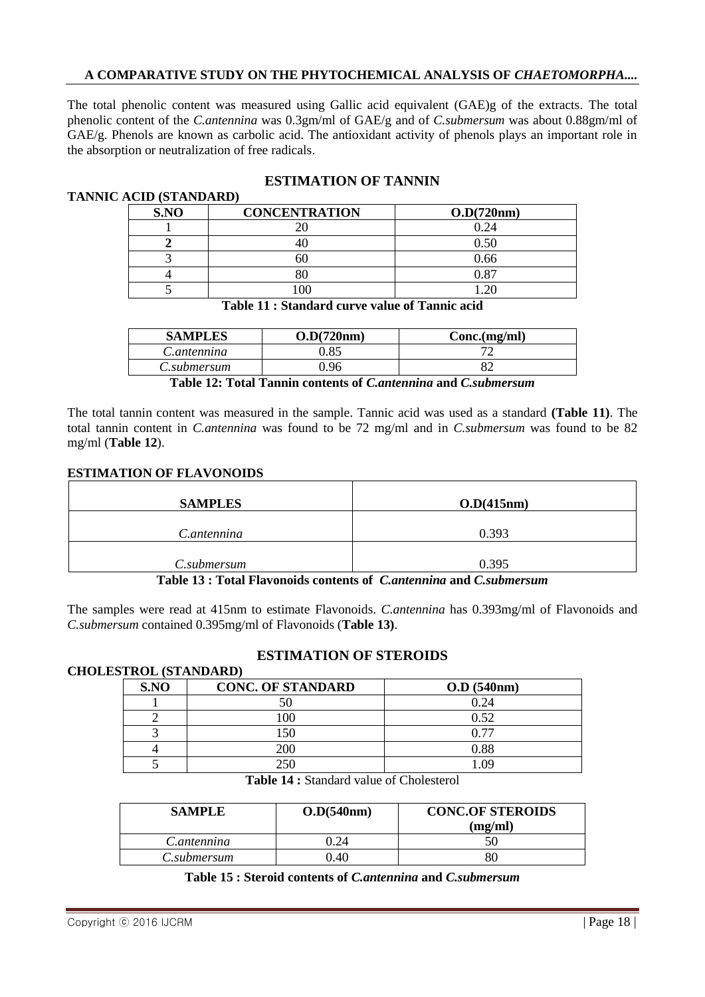The total phenolic content was measured using Gallic acid equivalent (GAE)g of the extracts*.* The total phenolic content of the *C.antennina* was 0.3gm/ml of GAE/g and of *C.submersum* was about 0.88gm/ml of GAE/g. Phenols are known as carbolic acid. The antioxidant activity of phenols plays an important role in the absorption or neutralization of free radicals.

# **TANNIC ACID (STANDARD)**

# **ESTIMATION OF TANNIN**

| S.NO | <b>CONCENTRATION</b> | O.D(720nm) |
|------|----------------------|------------|
|      |                      | 0.24       |
|      |                      | 0.50       |
|      |                      | 0.66       |
|      |                      | ገ ጸ7       |
|      |                      |            |

# **Table 11 : Standard curve value of Tannic acid**

| <b>SAMPLES</b> | O.D(720nm) | Conc.(mg/ml) |
|----------------|------------|--------------|
| C.antennina    | ).85       |              |
| C.submersum    | ) ዓ6       |              |

**Table 12: Total Tannin contents of** *C.antennina* **and** *C.submersum*

The total tannin content was measured in the sample. Tannic acid was used as a standard **(Table 11)**. The total tannin content in *C.antennina* was found to be 72 mg/ml and in *C.submersum* was found to be 82 mg/ml (**Table 12**).

#### **ESTIMATION OF FLAVONOIDS**

| <b>SAMPLES</b> | O.D(415nm) |
|----------------|------------|
| C.antennina    | 0.393      |
| C.submersum    | 0.395      |

**Table 13 : Total Flavonoids contents of** *C.antennina* **and** *C.submersum*

The samples were read at 415nm to estimate Flavonoids. *C.antennina* has 0.393mg/ml of Flavonoids and *C.submersum* contained 0.395mg/ml of Flavonoids (**Table 13)**.

### **ESTIMATION OF STEROIDS**

#### **CHOLESTROL (STANDARD)**

| S.NO | <b>CONC. OF STANDARD</b> | $O.D$ (540nm) |
|------|--------------------------|---------------|
|      |                          | 0.24          |
|      | 100                      | 0.52          |
|      | 150                      | 0 77          |
|      | 200                      | $\rm 0.88$    |
|      | つらい                      |               |

**Table 14 :** Standard value of Cholesterol

| <b>SAMPLE</b> | O.D(540nm) | <b>CONC.OF STEROIDS</b><br>(mg/ml) |
|---------------|------------|------------------------------------|
| C.antennina   |            |                                    |
| C.submersum   | 0.40       |                                    |

**Table 15 : Steroid contents of** *C.antennina* **and** *C.submersum*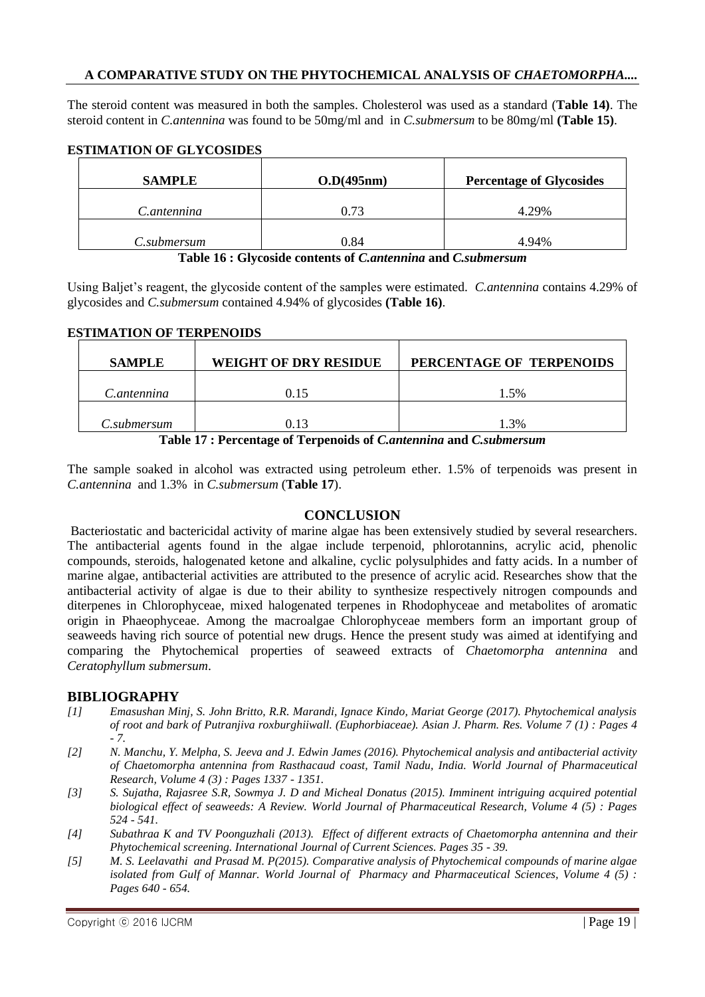The steroid content was measured in both the samples. Cholesterol was used as a standard (**Table 14)**. The steroid content in *C.antennina* was found to be 50mg/ml and in *C.submersum* to be 80mg/ml **(Table 15)**.

#### **ESTIMATION OF GLYCOSIDES**

| <b>SAMPLE</b> | O.D(495nm) | <b>Percentage of Glycosides</b> |
|---------------|------------|---------------------------------|
| C.antennina   | 0.73       | 4.29%                           |
| C.submersum   | 0.84       | 4.94%                           |

**Table 16 : Glycoside contents of** *C.antennina* **and** *C.submersum*

Using Baljet's reagent, the glycoside content of the samples were estimated. *C.antennina* contains 4.29% of glycosides and *C.submersum* contained 4.94% of glycosides **(Table 16)**.

#### **ESTIMATION OF TERPENOIDS**

| <b>SAMPLE</b> | <b>WEIGHT OF DRY RESIDUE</b> | PERCENTAGE OF TERPENOIDS |
|---------------|------------------------------|--------------------------|
| C.antennina   | 0.15                         | 1.5%                     |
| C.submersum   | 0.13                         | 3%                       |

**Table 17 : Percentage of Terpenoids of** *C.antennina* **and** *C.submersum*

The sample soaked in alcohol was extracted using petroleum ether. 1.5% of terpenoids was present in *C.antennina* and 1.3% in *C.submersum* (**Table 17**).

### **CONCLUSION**

Bacteriostatic and bactericidal activity of marine algae has been extensively studied by several researchers. The antibacterial agents found in the algae include terpenoid, phlorotannins, acrylic acid, phenolic compounds, steroids, halogenated ketone and alkaline, cyclic polysulphides and fatty acids. In a number of marine algae, antibacterial activities are attributed to the presence of acrylic acid. Researches show that the antibacterial activity of algae is due to their ability to synthesize respectively nitrogen compounds and diterpenes in Chlorophyceae, mixed halogenated terpenes in Rhodophyceae and metabolites of aromatic origin in Phaeophyceae. Among the macroalgae Chlorophyceae members form an important group of seaweeds having rich source of potential new drugs. Hence the present study was aimed at identifying and comparing the Phytochemical properties of seaweed extracts of *Chaetomorpha antennina* and *Ceratophyllum submersum*.

#### **BIBLIOGRAPHY**

- *[1] Emasushan Minj, S. John Britto, R.R. Marandi, Ignace Kindo, Mariat George (2017). Phytochemical analysis of root and bark of Putranjiva roxburghiiwall. (Euphorbiaceae). Asian J. Pharm. Res. Volume 7 (1) : Pages 4 - 7.*
- *[2] N. Manchu, Y. Melpha, S. Jeeva and J. Edwin James (2016). Phytochemical analysis and antibacterial activity of Chaetomorpha antennina from Rasthacaud coast, Tamil Nadu, India. World Journal of Pharmaceutical Research, Volume 4 (3) : Pages 1337 - 1351.*
- *[3] S. Sujatha, Rajasree S.R, Sowmya J. D and Micheal Donatus (2015). Imminent intriguing acquired potential biological effect of seaweeds: A Review. World Journal of Pharmaceutical Research, Volume 4 (5) : Pages 524 - 541.*
- *[4] Subathraa K and TV Poonguzhali (2013). Effect of different extracts of Chaetomorpha antennina and their Phytochemical screening. International Journal of Current Sciences. Pages 35 - 39.*
- *[5] M. S. Leelavathi and Prasad M. P(2015). Comparative analysis of Phytochemical compounds of marine algae* isolated from Gulf of Mannar. World Journal of Pharmacy and Pharmaceutical Sciences, Volume 4 (5) : *Pages 640 - 654.*